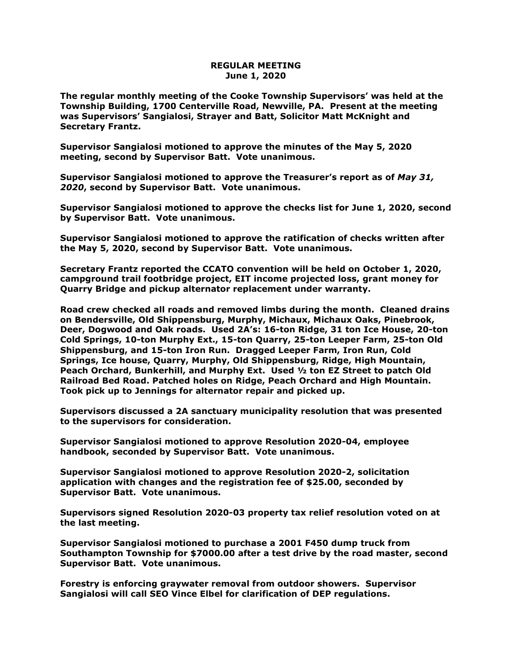## **REGULAR MEETING June 1, 2020**

**The regular monthly meeting of the Cooke Township Supervisors' was held at the Township Building, 1700 Centerville Road, Newville, PA. Present at the meeting was Supervisors' Sangialosi, Strayer and Batt, Solicitor Matt McKnight and Secretary Frantz.** 

**Supervisor Sangialosi motioned to approve the minutes of the May 5, 2020 meeting, second by Supervisor Batt. Vote unanimous.** 

**Supervisor Sangialosi motioned to approve the Treasurer's report as of** *May 31, 2020***, second by Supervisor Batt. Vote unanimous.**

**Supervisor Sangialosi motioned to approve the checks list for June 1, 2020, second by Supervisor Batt. Vote unanimous.**

**Supervisor Sangialosi motioned to approve the ratification of checks written after the May 5, 2020, second by Supervisor Batt. Vote unanimous.**

**Secretary Frantz reported the CCATO convention will be held on October 1, 2020, campground trail footbridge project, EIT income projected loss, grant money for Quarry Bridge and pickup alternator replacement under warranty.**

**Road crew checked all roads and removed limbs during the month. Cleaned drains on Bendersville, Old Shippensburg, Murphy, Michaux, Michaux Oaks, Pinebrook, Deer, Dogwood and Oak roads. Used 2A's: 16-ton Ridge, 31 ton Ice House, 20-ton Cold Springs, 10-ton Murphy Ext., 15-ton Quarry, 25-ton Leeper Farm, 25-ton Old Shippensburg, and 15-ton Iron Run. Dragged Leeper Farm, Iron Run, Cold Springs, Ice house, Quarry, Murphy, Old Shippensburg, Ridge, High Mountain, Peach Orchard, Bunkerhill, and Murphy Ext. Used ½ ton EZ Street to patch Old Railroad Bed Road. Patched holes on Ridge, Peach Orchard and High Mountain. Took pick up to Jennings for alternator repair and picked up.**

**Supervisors discussed a 2A sanctuary municipality resolution that was presented to the supervisors for consideration.** 

**Supervisor Sangialosi motioned to approve Resolution 2020-04, employee handbook, seconded by Supervisor Batt. Vote unanimous.**

**Supervisor Sangialosi motioned to approve Resolution 2020-2, solicitation application with changes and the registration fee of \$25.00, seconded by Supervisor Batt. Vote unanimous.**

**Supervisors signed Resolution 2020-03 property tax relief resolution voted on at the last meeting.**

**Supervisor Sangialosi motioned to purchase a 2001 F450 dump truck from Southampton Township for \$7000.00 after a test drive by the road master, second Supervisor Batt. Vote unanimous.**

**Forestry is enforcing graywater removal from outdoor showers. Supervisor Sangialosi will call SEO Vince Elbel for clarification of DEP regulations.**